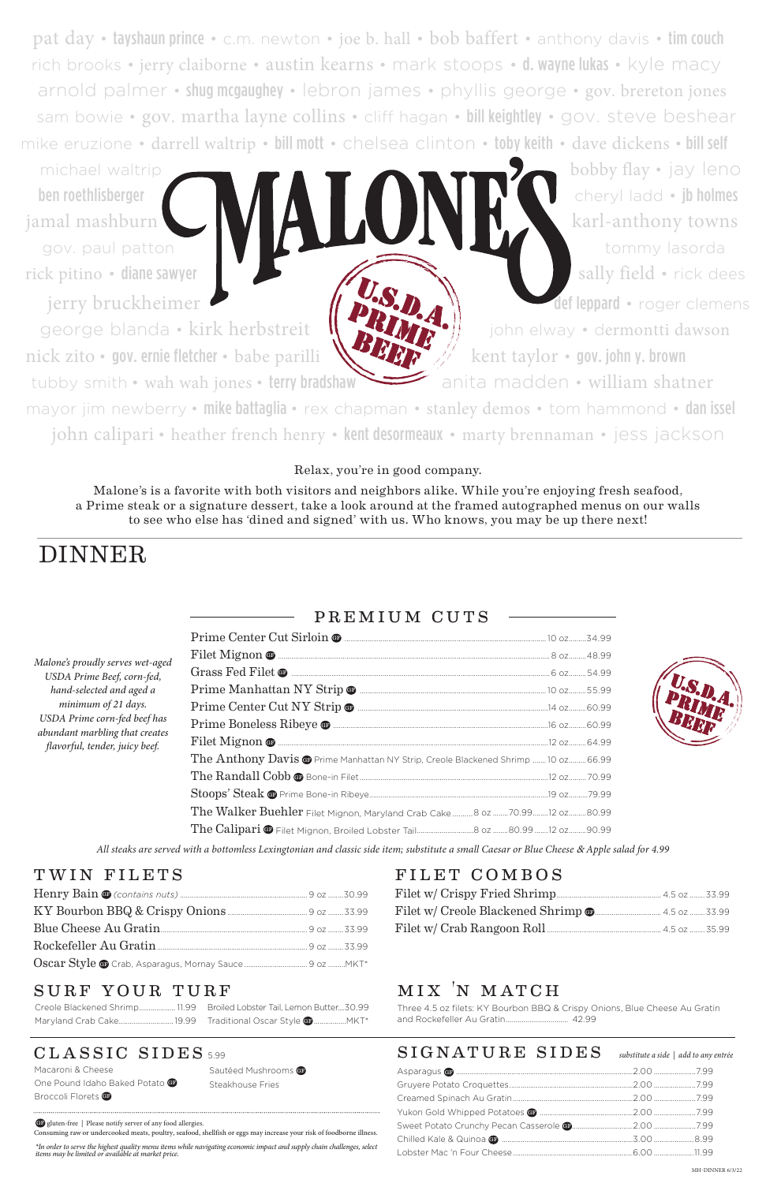pat day • tayshaun prince • c.m. newton • joe b. hall • bob baffert • anthony davis • tim couch rich brooks • jerry claiborne • austin kearns • mark stoops • d. wayne lukas • kyle macy arnold palmer • shug mcgaughey • lebron james • phyllis george • gov. brereton jones sam bowie • gov. martha layne collins • cliff hagan • bill keightley • gov. steve beshear mike eruzione • darrell waltrip • bill mott • chelsea clinton • toby keith • dave dickens • bill self

michael waltrip **bobby flay •** jay leno

ben roethlisberger cheryl ladd • jb holmes jamal mashburn Karl Karl-anthony towns gov. paul patton tommy lasorda rick pitino • diane sawyer sally field • rick dees

jerry bruckheimer def leppard • roger clemens

george blanda • kirk herbstreit  $\| \cdot \|$  **i**  $\|$  john elway • dermontti dawson nick zito • gov. ernie fletcher • babe parilli  $\mathbb{R}$  **kent taylor • gov. john y. brown** 

tubby smith • wah wah jones • terry bradshaw anita madden • william shatner

mayor jim newberry • mike battaglia • rex chapman • stanley demos • tom hammond • dan issel john calipari • heather french henry • kent desormeaux • marty brennaman • jess jackson

*All steaks are served with a bottomless Lexingtonian and classic side item; substitute a small Caesar or Blue Cheese* & *Apple salad for 4.99*

Macaroni & Cheese One Pound Idaho Baked Potato C Broccoli Florets **GB** 

Sautéed Mushrooms GP Steakhouse Fries

| Malone's proudly serves wet-aged<br>USDA Prime Beef, corn-fed,<br>hand-selected and aged a<br>minimum of 21 days.<br>USDA Prime corn-fed beef has<br>abundant marbling that creates<br>flavorful, tender, juicy beef. |                                                                                              |  |
|-----------------------------------------------------------------------------------------------------------------------------------------------------------------------------------------------------------------------|----------------------------------------------------------------------------------------------|--|
|                                                                                                                                                                                                                       |                                                                                              |  |
|                                                                                                                                                                                                                       |                                                                                              |  |
|                                                                                                                                                                                                                       |                                                                                              |  |
|                                                                                                                                                                                                                       |                                                                                              |  |
|                                                                                                                                                                                                                       |                                                                                              |  |
|                                                                                                                                                                                                                       |                                                                                              |  |
|                                                                                                                                                                                                                       | The Anthony Davis <sup>o</sup> Prime Manhattan NY Strip, Creole Blackened Shrimp 10 oz 66.99 |  |
|                                                                                                                                                                                                                       |                                                                                              |  |
|                                                                                                                                                                                                                       |                                                                                              |  |
|                                                                                                                                                                                                                       | The Walker Buehler Filet Mignon, Maryland Crab Cake 8 02 70.99 12 02 80.99                   |  |
|                                                                                                                                                                                                                       |                                                                                              |  |



### premium cuts

| Blue Cheese Au Gratin                                                         |  |
|-------------------------------------------------------------------------------|--|
| Rockefeller Au Gratin <u>[1994]</u> Nockefeller Au Gratin <b>[2016]</b> 23.99 |  |
|                                                                               |  |

### SURF YOUR TURF

## mix 'n match

Three 4.5 oz filets: KY Bourbon BBQ & Crispy Onions, Blue Cheese Au Gratin and Rockefeller Au Gratin................................ 42.99

### CLASSIC SIDES 5.99

Creole Blackened Shrimp................... 11.99 Broiled Lobster Tail, Lemon Butter....30.99 Maryland Crab Cake.............................19.99 Traditional Oscar Style GF .................MKT\*

### WIN FILETS FILET COMBOS

# DINNER

### Relax, you're in good company.

Malone's is a favorite with both visitors and neighbors alike. While you're enjoying fresh seafood, a Prime steak or a signature dessert, take a look around at the framed autographed menus on our walls to see who else has 'dined and signed' with us. Who knows, you may be up there next!

*\*In order to serve the highest quality menu items while navigating economic impact and supply chain challenges, select items may be limited or available at market price.* 

### $\textbf{SIGNATURE} \textbf{SIDES}$  substitute a side | add to any entrée

GF gluten-free | Please notify server of any food allergies.

Consuming raw or undercooked meats, poultry, seafood, shellfish or eggs may increase your risk of foodborne illness.